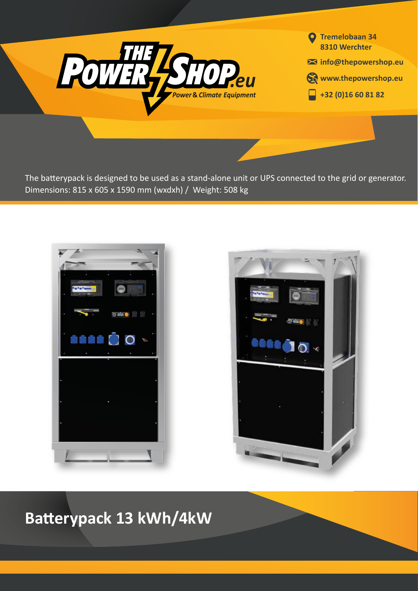

**Tremelobaan 34 8310 Werchter info@thepowershop.eu Www.thepowershop.eu +32 (0)16 60 81 82**

The batterypack is designed to be used as a stand-alone unit or UPS connected to the grid or generator. Dimensions: 815 x 605 x 1590 mm (wxdxh) / Weight: 508 kg





**Batterypack 13 kWh/4kW**